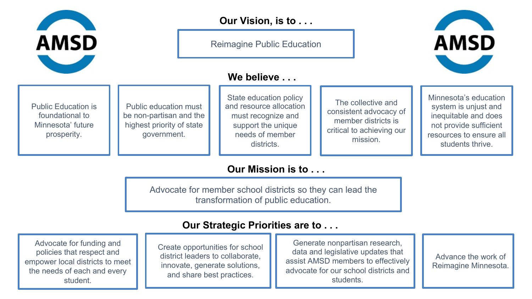

Reimagine Public Education

### **We believe . . .**



Public education must be non-partisan and the highest priority of state government.

State education policy and resource allocation must recognize and support the unique needs of member districts.

The collective and consistent advocacy of member districts is critical to achieving our mission.

Minnesota's education system is unjust and inequitable and does not provide sufficient resources to ensure all students thrive.

**AMSD** 

### **Our Mission is to . . .**

Advocate for member school districts so they can lead the transformation of public education.

#### **Our Strategic Priorities are to . . .**

Advocate for funding and policies that respect and empower local districts to meet the needs of each and every student.

Create opportunities for school district leaders to collaborate, innovate, generate solutions, and share best practices.

Copyright © 2020 Clarity Leadership & INspiring SIGHT. Generate nonpartisan research, data and legislative updates that assist AMSD members to effectively advocate for our school districts and students.

Advance the work of Reimagine Minnesota.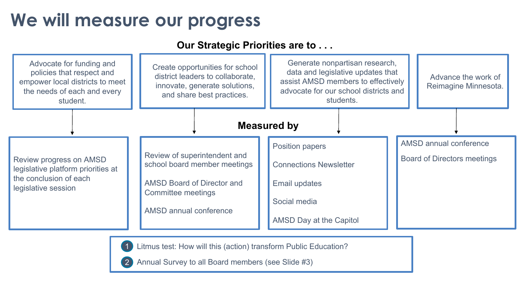## **We will measure our progress**

1

2

#### **Our Strategic Priorities are to . . .**



Litmus test: How will this (action) transform Public Education?

Annual Survey to all Board members (see Slide #3)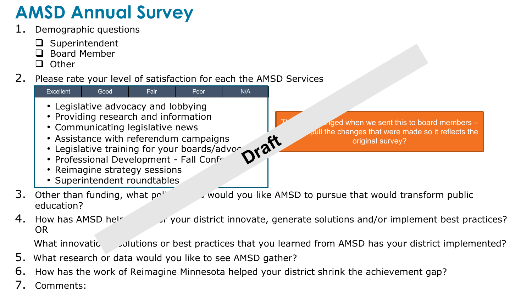# **AMSD Annual Survey**

- Demographic questions
	- $\Box$  Superintendent
	- $\Box$  Board Member
	- $\Box$  Other
- 2. Please rate your level of satisfaction for each the AMSD Services



3. Other than funding, what policy is would you like AMSD to pursue that would transform public

4. How has AMSD helped your district innovate, generate solutions and/or implement best practices? OR

What innovatic dultions or best practices that you learned from AMSD has your district implemented?

- 5. What research or data would you like to see AMSD gather?
- 6. How has the work of Reimagine Minnesota helped your district shrink the achievement gap?
- 7. Comments:

 $\log$  when we sent this to board members – the changes that were made so it reflects the original survey?